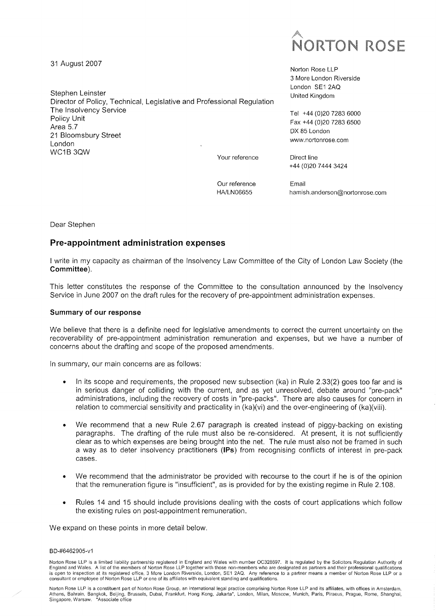# **NORTON ROSE**

31 August 2007

Stephen Leinster Director of Policy, Technical, Legislative and Professional Regulation The Insolvency Service Policy Unit Area 5.7 21 Bloomsbury Street London WC1B3QW

Your reference

Norton Rose LLP 3 More London Riverside London SE1 2AQ United Kingdom

Tel +44(0)20 7283 6000 Fax +44 (0)20 7283 6500 DX 85 London [www.nortonrose.com](http://www.nortonrose.com)

Direct line +44 (0)20 7444 3424

Our reference HA/LN06655

Email [hamish.anderson@nortonrose.com](mailto:hamish.anderson@nortonrose.com) 

Dear Stephen

# Pre-appointment administration expenses

I write in my capacity as chairman of the Insolvency Law Committee of the City of London Law Society (the **Committee).** 

This letter constitutes the response of the Committee to the consultation announced by the Insolvency Service in June 2007 on the draft rules for the recovery of pre-appointment administration expenses.

#### **Summary of our response**

We believe that there is a definite need for legislative amendments to correct the current uncertainty on the recoverability of pre-appointment administration remuneration and expenses, but we have a number of concerns about the drafting and scope of the proposed amendments.

In summary, our main concerns are as follows:

- In its scope and requirements, the proposed new subsection (ka) in Rule 2.33(2) goes too far and is in serious danger of colliding with the current, and as yet unresolved, debate around "pre-pack" administrations, including the recovery of costs in "pre-packs". There are also causes for concern in relation to commercial sensitivity and practicality in (ka)(vi) and the over-engineering of (ka)(viii).
- We recommend that a new Rule 2.67 paragraph is created instead of piggy-backing on existing paragraphs. The drafting of the rule must also be re-considered. At present, it is not sufficiently clear as to which expenses are being brought into the net. The rule must also not be framed in such a way as to deter insolvency practitioners **(IPs)** from recognising conflicts of interest in pre-pack cases.
- We recommend that the administrator be provided with recourse to the court if he is of the opinion that the remuneration figure is "insufficient", as is provided for by the existing regime in Rule 2.108.
- Rules 14 and 15 should include provisions dealing with the costs of court applications which follow the existing rules on post-appointment remuneration.

We expand on these points in more detail below.

#### BD-#6462905-v1

Norton Rose LLP is a constituent part of Norton Rose Group, an international legal practice comprising Norton Rose LLP and its affiliates, with offices in Amsterdam,<br>Athens, Bahrain, Bangkok, Beijing, Brussels, Dubai, Fran Singapore, Warsaw, 'Associate office

Norton Rose LLP is a limited liability partnership registered in England and Wales with number OC328697. It is regulated by the Solicitors Regulation Authority of<br>England and Wales. A list of the members of Norton Rose LLP consultant or employee of Norton Rose LLP or one of its affiliates with equivalent standing and qualifications.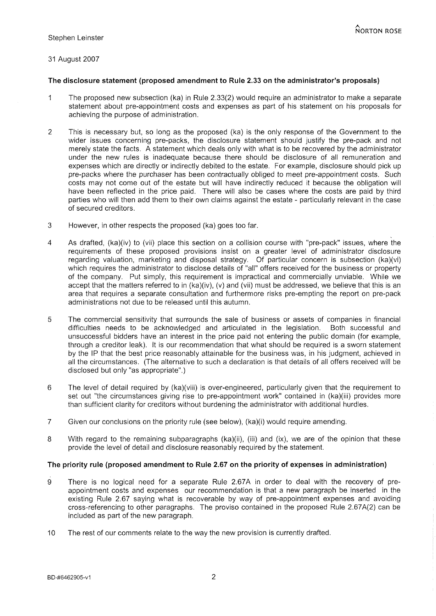# 31 August 2007

#### **The disclosure statement (proposed amendment to Rule 2.33 on the administrator's proposals)**

- 1 The proposed new subsection (ka) in Rule 2.33(2) would require an administrator to make a separate statement about pre-appointment costs and expenses as part of his statement on his proposals for achieving the purpose of administration.
- 2 This is necessary but, so long as the proposed (ka) is the only response of the Government to the wider issues concerning pre-packs, the disclosure statement should justify the pre-pack and not merely state the facts. A statement which deals only with what is to be recovered by the administrator under the new rules is inadequate because there should be disclosure of all remuneration and expenses which are directly or indirectly debited to the estate. For example, disclosure should pick up pre-packs where the purchaser has been contractually obliged to meet pre-appointment costs. Such costs may not come out of the estate but will have indirectly reduced it because the obligation will have been reflected in the price paid. There will also be cases where the costs are paid by third parties who will then add them to their own claims against the estate - particularly relevant in the case of secured creditors.
- 3 However, in other respects the proposed (ka) goes too far.
- 4 As drafted, (ka)(iv) to (vii) place this section on a collision course with "pre-pack" issues, where the requirements of these proposed provisions insist on a greater level of administrator disclosure regarding valuation, marketing and disposal strategy. Of particular concern is subsection (ka)(vi) which requires the administrator to disclose details of "all" offers received for the business or property of the company. Put simply, this requirement is impractical and commercially unviable. While we accept that the matters referred to in (ka)(iv), (v) and (vii) must be addressed, we believe that this is an area that requires a separate consultation and furthermore risks pre-empting the report on pre-pack administrations not due to be released until this autumn.
- 5 The commercial sensitivity that surrounds the sale of business or assets of companies in financial difficulties needs to be acknowledged and articulated in the legislation. Both successful and unsuccessful bidders have an interest in the price paid not entering the public domain (for example, through a creditor leak). It is our recommendation that what should be required is a sworn statement by the IP that the best price reasonably attainable for the business was, in his judgment, achieved in all the circumstances. (The alternative to such a declaration is that details of all offers received will be disclosed but only "as appropriate".)
- 6 The level of detail required by (ka)(viii) is over-engineered, particularly given that the requirement to set out "the circumstances giving rise to pre-appointment work" contained in (ka)(iii) provides more than sufficient clarity for creditors without burdening the administrator with additional hurdles.
- 7 Given our conclusions on the priority rule (see below), (ka)(i) would require amending.
- 8 With regard to the remaining subparagraphs (ka)(ii), (iii) and (ix), we are of the opinion that these provide the level of detail and disclosure reasonably required by the statement.

## **The priority rule (proposed amendment to Rule 2.67 on the priority of expenses in administration)**

- 9 There is no logical need for a separate Rule 2.67A in order to deal with the recovery of preappointment costs and expenses our recommendation is that a new paragraph be inserted in the existing Rule 2.67 saying what is recoverable by way of pre-appointment expenses and avoiding cross-referencing to other paragraphs. The proviso contained in the proposed Rule 2.67A(2) can be included as part of the new paragraph.
- 10 The rest of our comments relate to the way the new provision is currently drafted.